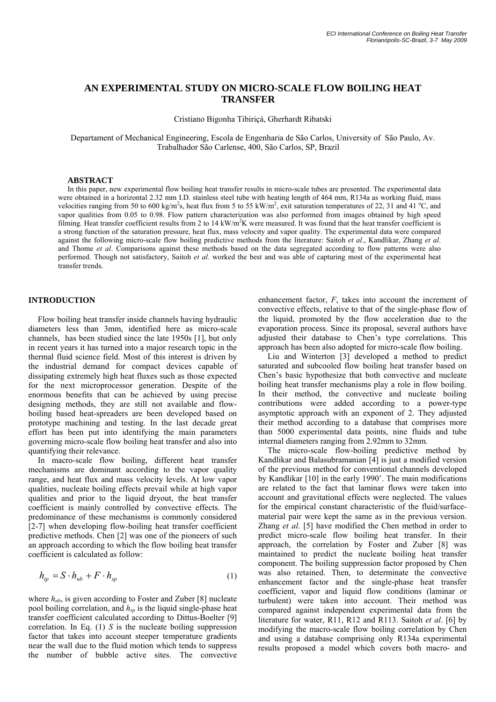# **AN EXPERIMENTAL STUDY ON MICRO-SCALE FLOW BOILING HEAT TRANSFER**

Cristiano Bigonha Tibiriçá, Gherhardt Ribatski

Departament of Mechanical Engineering, Escola de Engenharia de São Carlos, University of São Paulo, Av. Trabalhador São Carlense, 400, São Carlos, SP, Brazil

#### **ABSTRACT**

In this paper, new experimental flow boiling heat transfer results in micro-scale tubes are presented. The experimental data were obtained in a horizontal 2.32 mm I.D. stainless steel tube with heating length of 464 mm, R134a as working fluid, mass velocities ranging from 50 to 600 kg/m<sup>2</sup>s, heat flux from 5 to 55 kW/m<sup>2</sup>, exit saturation temperatures of 22, 31 and 41 °C, and vapor qualities from 0.05 to 0.98. Flow pattern characterization was also performed from images obtained by high speed filming. Heat transfer coefficient results from 2 to 14 kW/m<sup>2</sup>K were measured. It was found that the heat transfer coefficient is a strong function of the saturation pressure, heat flux, mass velocity and vapor quality. The experimental data were compared against the following micro-scale flow boiling predictive methods from the literature: Saitoh *et al*., Kandlikar, Zhang *et al*. and Thome *et al*. Comparisons against these methods based on the data segregated according to flow patterns were also performed. Though not satisfactory, Saitoh *et al*. worked the best and was able of capturing most of the experimental heat transfer trends.

## **INTRODUCTION**

Flow boiling heat transfer inside channels having hydraulic diameters less than 3mm, identified here as micro-scale channels, has been studied since the late 1950s [1], but only in recent years it has turned into a major research topic in the thermal fluid science field. Most of this interest is driven by the industrial demand for compact devices capable of dissipating extremely high heat fluxes such as those expected for the next microprocessor generation. Despite of the enormous benefits that can be achieved by using precise designing methods, they are still not available and flowboiling based heat-spreaders are been developed based on prototype machining and testing. In the last decade great effort has been put into identifying the main parameters governing micro-scale flow boiling heat transfer and also into quantifying their relevance.

In macro-scale flow boiling, different heat transfer mechanisms are dominant according to the vapor quality range, and heat flux and mass velocity levels. At low vapor qualities, nucleate boiling effects prevail while at high vapor qualities and prior to the liquid dryout, the heat transfer coefficient is mainly controlled by convective effects. The predominance of these mechanisms is commonly considered [2-7] when developing flow-boiling heat transfer coefficient predictive methods. Chen [2] was one of the pioneers of such an approach according to which the flow boiling heat transfer coefficient is calculated as follow:

$$
h_{tp} = S \cdot h_{nb} + F \cdot h_{sp} \tag{1}
$$

where  $h_{nb}$  is given according to Foster and Zuber [8] nucleate pool boiling correlation, and  $h_{sn}$  is the liquid single-phase heat transfer coefficient calculated according to Dittus-Boelter [9] correlation. In Eq. (1) *S* is the nucleate boiling suppression factor that takes into account steeper temperature gradients near the wall due to the fluid motion which tends to suppress the number of bubble active sites. The convective enhancement factor, *F*, takes into account the increment of convective effects, relative to that of the single-phase flow of the liquid, promoted by the flow acceleration due to the evaporation process. Since its proposal, several authors have adjusted their database to Chen's type correlations. This approach has been also adopted for micro-scale flow boiling.

Liu and Winterton [3] developed a method to predict saturated and subcooled flow boiling heat transfer based on Chen's basic hypothesize that both convective and nucleate boiling heat transfer mechanisms play a role in flow boiling. In their method, the convective and nucleate boiling contributions were added according to a power-type asymptotic approach with an exponent of 2. They adjusted their method according to a database that comprises more than 5000 experimental data points, nine fluids and tube internal diameters ranging from 2.92mm to 32mm.

The micro-scale flow-boiling predictive method by Kandlikar and Balasubramanian [4] is just a modified version of the previous method for conventional channels developed by Kandlikar [10] in the early 1990'. The main modifications are related to the fact that laminar flows were taken into account and gravitational effects were neglected. The values for the empirical constant characteristic of the fluid/surfacematerial pair were kept the same as in the previous version. Zhang *et al.* [5] have modified the Chen method in order to predict micro-scale flow boiling heat transfer. In their approach, the correlation by Foster and Zuber [8] was maintained to predict the nucleate boiling heat transfer component. The boiling suppression factor proposed by Chen was also retained. Then, to determinate the convective enhancement factor and the single-phase heat transfer coefficient, vapor and liquid flow conditions (laminar or turbulent) were taken into account. Their method was compared against independent experimental data from the literature for water, R11, R12 and R113. Saitoh *et al*. [6] by modifying the macro-scale flow boiling correlation by Chen and using a database comprising only R134a experimental results proposed a model which covers both macro- and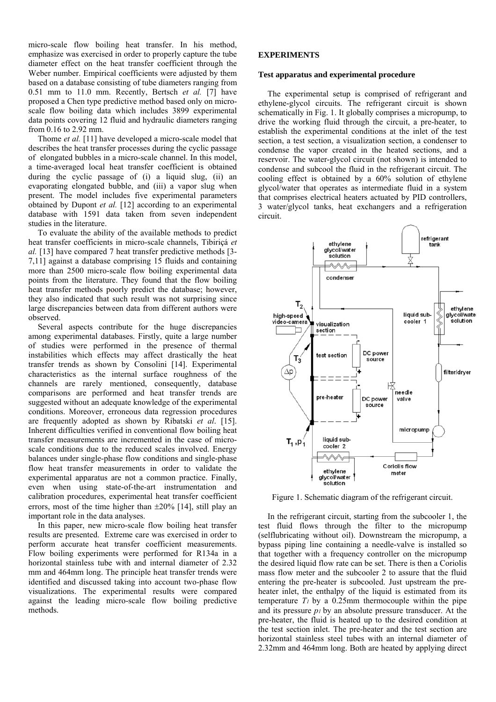micro-scale flow boiling heat transfer. In his method, emphasize was exercised in order to properly capture the tube diameter effect on the heat transfer coefficient through the Weber number. Empirical coefficients were adjusted by them based on a database consisting of tube diameters ranging from 0.51 mm to 11.0 mm. Recently, Bertsch *et al.* [7] have proposed a Chen type predictive method based only on microscale flow boiling data which includes 3899 experimental data points covering 12 fluid and hydraulic diameters ranging from 0.16 to 2.92 mm.

Thome *et al.* [11] have developed a micro-scale model that describes the heat transfer processes during the cyclic passage of elongated bubbles in a micro-scale channel. In this model, a time-averaged local heat transfer coefficient is obtained during the cyclic passage of (i) a liquid slug, (ii) an evaporating elongated bubble, and (iii) a vapor slug when present. The model includes five experimental parameters obtained by Dupont *et al.* [12] according to an experimental database with 1591 data taken from seven independent studies in the literature.

To evaluate the ability of the available methods to predict heat transfer coefficients in micro-scale channels, Tibiriçá *et al.* [13] have compared 7 heat transfer predictive methods [3- 7,11] against a database comprising 15 fluids and containing more than 2500 micro-scale flow boiling experimental data points from the literature. They found that the flow boiling heat transfer methods poorly predict the database; however, they also indicated that such result was not surprising since large discrepancies between data from different authors were observed.

Several aspects contribute for the huge discrepancies among experimental databases. Firstly, quite a large number of studies were performed in the presence of thermal instabilities which effects may affect drastically the heat transfer trends as shown by Consolini [14]. Experimental characteristics as the internal surface roughness of the channels are rarely mentioned, consequently, database comparisons are performed and heat transfer trends are suggested without an adequate knowledge of the experimental conditions. Moreover, erroneous data regression procedures are frequently adopted as shown by Ribatski *et al*. [15]. Inherent difficulties verified in conventional flow boiling heat transfer measurements are incremented in the case of microscale conditions due to the reduced scales involved. Energy balances under single-phase flow conditions and single-phase flow heat transfer measurements in order to validate the experimental apparatus are not a common practice. Finally, even when using state-of-the-art instrumentation and calibration procedures, experimental heat transfer coefficient errors, most of the time higher than ±20% [14], still play an important role in the data analyses.

In this paper, new micro-scale flow boiling heat transfer results are presented. Extreme care was exercised in order to perform accurate heat transfer coefficient measurements. Flow boiling experiments were performed for R134a in a horizontal stainless tube with and internal diameter of 2.32 mm and 464mm long. The principle heat transfer trends were identified and discussed taking into account two-phase flow visualizations. The experimental results were compared against the leading micro-scale flow boiling predictive methods.

## **EXPERIMENTS**

#### **Test apparatus and experimental procedure**

The experimental setup is comprised of refrigerant and ethylene-glycol circuits. The refrigerant circuit is shown schematically in Fig. 1. It globally comprises a micropump, to drive the working fluid through the circuit, a pre-heater, to establish the experimental conditions at the inlet of the test section, a test section, a visualization section, a condenser to condense the vapor created in the heated sections, and a reservoir. The water-glycol circuit (not shown) is intended to condense and subcool the fluid in the refrigerant circuit. The cooling effect is obtained by a 60% solution of ethylene glycol/water that operates as intermediate fluid in a system that comprises electrical heaters actuated by PID controllers, 3 water/glycol tanks, heat exchangers and a refrigeration circuit.



Figure 1. Schematic diagram of the refrigerant circuit.

In the refrigerant circuit, starting from the subcooler 1, the test fluid flows through the filter to the micropump (selflubricating without oil). Downstream the micropump, a bypass piping line containing a needle-valve is installed so that together with a frequency controller on the micropump the desired liquid flow rate can be set. There is then a Coriolis mass flow meter and the subcooler 2 to assure that the fluid entering the pre-heater is subcooled. Just upstream the preheater inlet, the enthalpy of the liquid is estimated from its temperature  $T_1$  by a 0.25mm thermocouple within the pipe and its pressure *p1* by an absolute pressure transducer. At the pre-heater, the fluid is heated up to the desired condition at the test section inlet. The pre-heater and the test section are horizontal stainless steel tubes with an internal diameter of 2.32mm and 464mm long. Both are heated by applying direct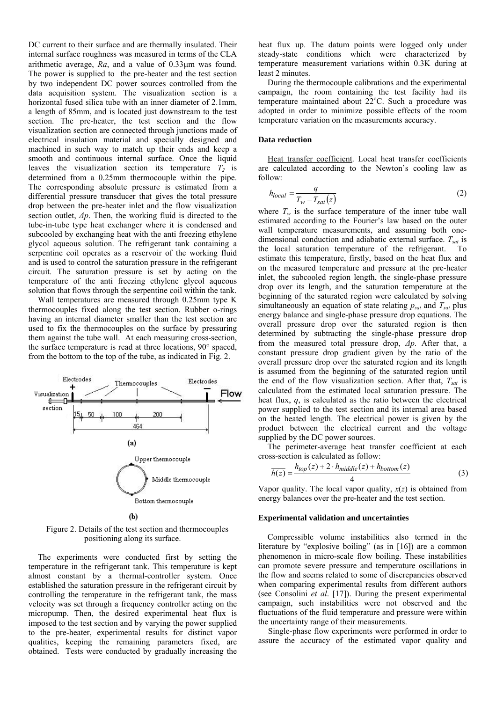DC current to their surface and are thermally insulated. Their internal surface roughness was measured in terms of the CLA arithmetic average, *Ra*, and a value of 0.33μm was found. The power is supplied to the pre-heater and the test section by two independent DC power sources controlled from the data acquisition system. The visualization section is a horizontal fused silica tube with an inner diameter of 2.1mm, a length of 85mm, and is located just downstream to the test section. The pre-heater, the test section and the flow visualization section are connected through junctions made of electrical insulation material and specially designed and machined in such way to match up their ends and keep a smooth and continuous internal surface. Once the liquid leaves the visualization section its temperature  $T_2$  is determined from a 0.25mm thermocouple within the pipe. The corresponding absolute pressure is estimated from a differential pressure transducer that gives the total pressure drop between the pre-heater inlet and the flow visualization section outlet, *Δp*. Then, the working fluid is directed to the tube-in-tube type heat exchanger where it is condensed and subcooled by exchanging heat with the anti freezing ethylene glycol aqueous solution. The refrigerant tank containing a serpentine coil operates as a reservoir of the working fluid and is used to control the saturation pressure in the refrigerant circuit. The saturation pressure is set by acting on the temperature of the anti freezing ethylene glycol aqueous solution that flows through the serpentine coil within the tank.

Wall temperatures are measured through 0.25mm type K thermocouples fixed along the test section. Rubber o-rings having an internal diameter smaller than the test section are used to fix the thermocouples on the surface by pressuring them against the tube wall. At each measuring cross-section, the surface temperature is read at three locations, 90° spaced, from the bottom to the top of the tube, as indicated in Fig. 2.



Figure 2. Details of the test section and thermocouples positioning along its surface.

The experiments were conducted first by setting the temperature in the refrigerant tank. This temperature is kept almost constant by a thermal-controller system. Once established the saturation pressure in the refrigerant circuit by controlling the temperature in the refrigerant tank, the mass velocity was set through a frequency controller acting on the micropump. Then, the desired experimental heat flux is imposed to the test section and by varying the power supplied to the pre-heater, experimental results for distinct vapor qualities, keeping the remaining parameters fixed, are obtained. Tests were conducted by gradually increasing the heat flux up. The datum points were logged only under steady-state conditions which were characterized by temperature measurement variations within 0.3K during at least 2 minutes.

During the thermocouple calibrations and the experimental campaign, the room containing the test facility had its temperature maintained about  $22^{\circ}$ C. Such a procedure was adopted in order to minimize possible effects of the room temperature variation on the measurements accuracy.

#### **Data reduction**

Heat transfer coefficient. Local heat transfer coefficients are calculated according to the Newton's cooling law as follow:

$$
h_{local} = \frac{q}{T_w - T_{sat}(z)}
$$
 (2)

where  $T_w$  is the surface temperature of the inner tube wall estimated according to the Fourier's law based on the outer wall temperature measurements, and assuming both onedimensional conduction and adiabatic external surface.  $T_{sat}$  is the local saturation temperature of the refrigerant. To estimate this temperature, firstly, based on the heat flux and on the measured temperature and pressure at the pre-heater inlet, the subcooled region length, the single-phase pressure drop over its length, and the saturation temperature at the beginning of the saturated region were calculated by solving simultaneously an equation of state relating  $p_{sat}$  and  $T_{sat}$  plus energy balance and single-phase pressure drop equations. The overall pressure drop over the saturated region is then determined by subtracting the single-phase pressure drop from the measured total pressure drop, *Δp*. After that, a constant pressure drop gradient given by the ratio of the overall pressure drop over the saturated region and its length is assumed from the beginning of the saturated region until the end of the flow visualization section. After that,  $T_{sat}$  is calculated from the estimated local saturation pressure. The heat flux, *q*, is calculated as the ratio between the electrical power supplied to the test section and its internal area based on the heated length. The electrical power is given by the product between the electrical current and the voltage supplied by the DC power sources.

The perimeter-average heat transfer coefficient at each cross-section is calculated as follow:

$$
\overline{h(z)} = \frac{h_{top}(z) + 2 \cdot h_{middle}(z) + h_{bottom}(z)}{4} \tag{3}
$$

Vapor quality. The local vapor quality,  $x(z)$  is obtained from energy balances over the pre-heater and the test section.

#### **Experimental validation and uncertainties**

Compressible volume instabilities also termed in the literature by "explosive boiling" (as in [16]) are a common phenomenon in micro-scale flow boiling. These instabilities can promote severe pressure and temperature oscillations in the flow and seems related to some of discrepancies observed when comparing experimental results from different authors (see Consolini *et al*. [17]). During the present experimental campaign, such instabilities were not observed and the fluctuations of the fluid temperature and pressure were within the uncertainty range of their measurements.

Single-phase flow experiments were performed in order to assure the accuracy of the estimated vapor quality and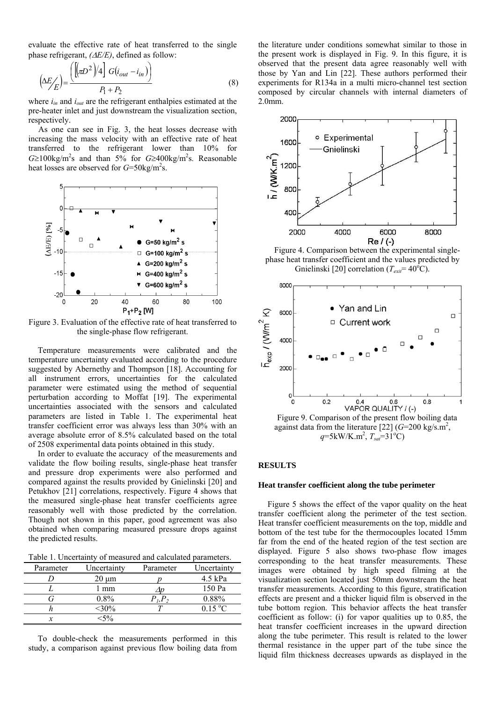evaluate the effective rate of heat transferred to the single phase refrigerant, *(*Δ*E/E)*, defined as follow:

$$
\left(\Delta E / \mathcal{E}\right) = \frac{\left(\left[\left(\pi D^2\right) / 4\right] G(i_{out} - i_{in})\right)}{P_1 + P_2} \tag{8}
$$

where  $i_{in}$  and  $i_{out}$  are the refrigerant enthalpies estimated at the pre-heater inlet and just downstream the visualization section, respectively.

As one can see in Fig. 3, the heat losses decrease with increasing the mass velocity with an effective rate of heat transferred to the refrigerant lower than 10% for  $G \ge 100$ kg/m<sup>2</sup>s and than 5% for  $G \ge 400$ kg/m<sup>2</sup>s. Reasonable heat losses are observed for  $G=50 \text{kg/m}^2 \text{s}$ .



Figure 3. Evaluation of the effective rate of heat transferred to the single-phase flow refrigerant.

Temperature measurements were calibrated and the temperature uncertainty evaluated according to the procedure suggested by Abernethy and Thompson [18]. Accounting for all instrument errors, uncertainties for the calculated parameter were estimated using the method of sequential perturbation according to Moffat [19]. The experimental uncertainties associated with the sensors and calculated parameters are listed in Table 1. The experimental heat transfer coefficient error was always less than 30% with an average absolute error of 8.5% calculated based on the total of 2508 experimental data points obtained in this study.

In order to evaluate the accuracy of the measurements and validate the flow boiling results, single-phase heat transfer and pressure drop experiments were also performed and compared against the results provided by Gnielinski [20] and Petukhov [21] correlations, respectively. Figure 4 shows that the measured single-phase heat transfer coefficients agree reasonably well with those predicted by the correlation. Though not shown in this paper, good agreement was also obtained when comparing measured pressure drops against the predicted results.

Table 1. Uncertainty of measured and calculated parameters.

| Parameter | Uncertainty<br>Parameter |       | Uncertainty |  |
|-----------|--------------------------|-------|-------------|--|
|           | $20 \mu m$               |       | $4.5$ kPa   |  |
|           | mm                       |       | 150 Pa      |  |
|           | $0.8\%$                  | P, P, | 0.88%       |  |
|           | $<$ 30%                  |       | 0.15 °C     |  |
|           | $<$ 5%                   |       |             |  |

To double-check the measurements performed in this study, a comparison against previous flow boiling data from the literature under conditions somewhat similar to those in the present work is displayed in Fig. 9. In this figure, it is observed that the present data agree reasonably well with those by Yan and Lin [22]. These authors performed their experiments for R134a in a multi micro-channel test section composed by circular channels with internal diameters of 2.0mm.



Figure 4. Comparison between the experimental singlephase heat transfer coefficient and the values predicted by Gnielinski [20] correlation ( $T_{exit} = 40^{\circ}$ C).



against data from the literature [22]  $(G=200 \text{ kg/s.m}^2)$ ,  $q=5\text{kW/K.m}^2$ ,  $T_{sat}=31^\circ\text{C}$ 

### **RESULTS**

### **Heat transfer coefficient along the tube perimeter**

Figure 5 shows the effect of the vapor quality on the heat transfer coefficient along the perimeter of the test section. Heat transfer coefficient measurements on the top, middle and bottom of the test tube for the thermocouples located 15mm far from the end of the heated region of the test section are displayed. Figure 5 also shows two-phase flow images corresponding to the heat transfer measurements. These images were obtained by high speed filming at the visualization section located just 50mm downstream the heat transfer measurements. According to this figure, stratification effects are present and a thicker liquid film is observed in the tube bottom region. This behavior affects the heat transfer coefficient as follow: (i) for vapor qualities up to 0.85, the heat transfer coefficient increases in the upward direction along the tube perimeter. This result is related to the lower thermal resistance in the upper part of the tube since the liquid film thickness decreases upwards as displayed in the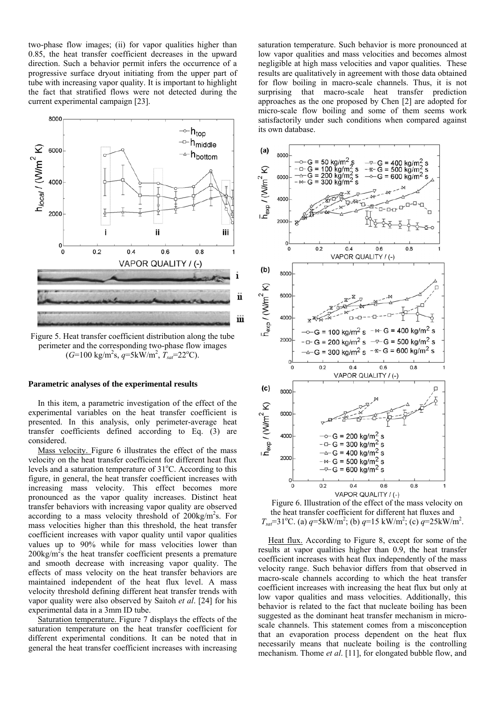two-phase flow images; (ii) for vapor qualities higher than 0.85, the heat transfer coefficient decreases in the upward direction. Such a behavior permit infers the occurrence of a progressive surface dryout initiating from the upper part of tube with increasing vapor quality. It is important to highlight the fact that stratified flows were not detected during the current experimental campaign [23].



Figure 5. Heat transfer coefficient distribution along the tube perimeter and the corresponding two-phase flow images  $(G=100 \text{ kg/m}^2\text{s}, q=5 \text{kW/m}^2, T_{sat}=22^{\circ}\text{C}).$ 

#### **Parametric analyses of the experimental results**

In this item, a parametric investigation of the effect of the experimental variables on the heat transfer coefficient is presented. In this analysis, only perimeter-average heat transfer coefficients defined according to Eq. (3) are considered.

Mass velocity. Figure 6 illustrates the effect of the mass velocity on the heat transfer coefficient for different heat flux levels and a saturation temperature of 31°C. According to this figure, in general, the heat transfer coefficient increases with increasing mass velocity. This effect becomes more pronounced as the vapor quality increases. Distinct heat transfer behaviors with increasing vapor quality are observed according to a mass velocity threshold of 200kg/m<sup>2</sup>s. For mass velocities higher than this threshold, the heat transfer coefficient increases with vapor quality until vapor qualities values up to 90% while for mass velocities lower than  $200\text{kg/m}^2$ s the heat transfer coefficient presents a premature and smooth decrease with increasing vapor quality. The effects of mass velocity on the heat transfer behaviors are maintained independent of the heat flux level. A mass velocity threshold defining different heat transfer trends with vapor quality were also observed by Saitoh *et al*. [24] for his experimental data in a 3mm ID tube.

Saturation temperature. Figure 7 displays the effects of the saturation temperature on the heat transfer coefficient for different experimental conditions. It can be noted that in general the heat transfer coefficient increases with increasing saturation temperature. Such behavior is more pronounced at low vapor qualities and mass velocities and becomes almost negligible at high mass velocities and vapor qualities. These results are qualitatively in agreement with those data obtained for flow boiling in macro-scale channels. Thus, it is not surprising that macro-scale heat transfer prediction approaches as the one proposed by Chen [2] are adopted for micro-scale flow boiling and some of them seems work satisfactorily under such conditions when compared against its own database.



Figure 6. Illustration of the effect of the mass velocity on the heat transfer coefficient for different hat fluxes and  $T_{\text{sat}} = 31^{\circ}$ C. (a)  $q = 5 \text{kW/m}^2$ ; (b)  $q = 15 \text{kW/m}^2$ ; (c)  $q = 25 \text{kW/m}^2$ .

Heat flux. According to Figure 8, except for some of the results at vapor qualities higher than 0.9, the heat transfer coefficient increases with heat flux independently of the mass velocity range. Such behavior differs from that observed in macro-scale channels according to which the heat transfer coefficient increases with increasing the heat flux but only at low vapor qualities and mass velocities. Additionally, this behavior is related to the fact that nucleate boiling has been suggested as the dominant heat transfer mechanism in microscale channels. This statement comes from a misconception that an evaporation process dependent on the heat flux necessarily means that nucleate boiling is the controlling mechanism. Thome *et al*. [11], for elongated bubble flow, and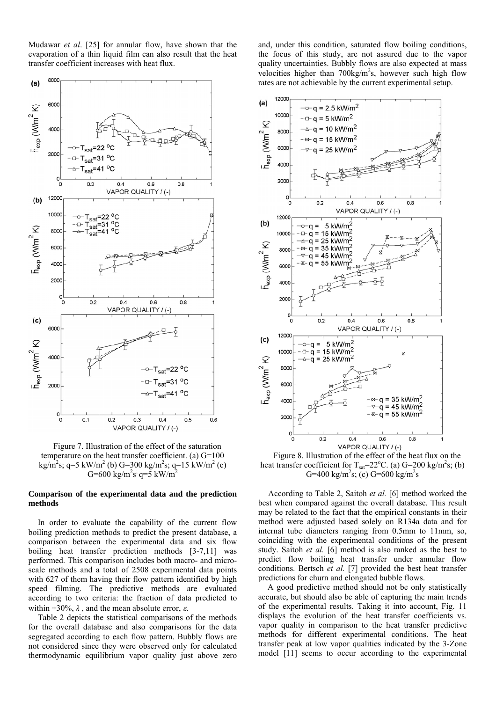Mudawar *et al*. [25] for annular flow, have shown that the evaporation of a thin liquid film can also result that the heat transfer coefficient increases with heat flux.

and, under this condition, saturated flow boiling conditions, the focus of this study, are not assured due to the vapor quality uncertainties. Bubbly flows are also expected at mass velocities higher than  $700 \text{kg/m}^2$ s, however such high flow rates are not achievable by the current experimental setup.



Figure 7. Illustration of the effect of the saturation temperature on the heat transfer coefficient. (a) G=100 kg/m<sup>2</sup>s; q=5 kW/m<sup>2</sup> (b) G=300 kg/m<sup>2</sup>s; q=15 kW/m<sup>2</sup> (c) G=600 kg/m<sup>2</sup>s<sup>3</sup> q=5 kW/m<sup>2</sup>

### **Comparison of the experimental data and the prediction methods**

In order to evaluate the capability of the current flow boiling prediction methods to predict the present database, a comparison between the experimental data and six flow boiling heat transfer prediction methods [3-7,11] was performed. This comparison includes both macro- and microscale methods and a total of 2508 experimental data points with 627 of them having their flow pattern identified by high speed filming. The predictive methods are evaluated according to two criteria: the fraction of data predicted to within  $\pm 30\%$ ,  $\lambda$ , and the mean absolute error,  $\varepsilon$ .

Table 2 depicts the statistical comparisons of the methods for the overall database and also comparisons for the data segregated according to each flow pattern. Bubbly flows are not considered since they were observed only for calculated thermodynamic equilibrium vapor quality just above zero



Figure 8. Illustration of the effect of the heat flux on the heat transfer coefficient for  $T_{sat} = 22^{\circ}$ C. (a) G=200 kg/m<sup>2</sup>s; (b) G=400 kg/m<sup>2</sup>s; (c) G=600 kg/m<sup>2</sup>s

According to Table 2, Saitoh *et al.* [6] method worked the best when compared against the overall database. This result may be related to the fact that the empirical constants in their method were adjusted based solely on R134a data and for internal tube diameters ranging from 0.5mm to 11mm, so, coinciding with the experimental conditions of the present study. Saitoh *et al.* [6] method is also ranked as the best to predict flow boiling heat transfer under annular flow conditions. Bertsch *et al.* [7] provided the best heat transfer predictions for churn and elongated bubble flows.

A good predictive method should not be only statistically accurate, but should also be able of capturing the main trends of the experimental results. Taking it into account, Fig. 11 displays the evolution of the heat transfer coefficients vs. vapor quality in comparison to the heat transfer predictive methods for different experimental conditions. The heat transfer peak at low vapor qualities indicated by the 3-Zone model [11] seems to occur according to the experimental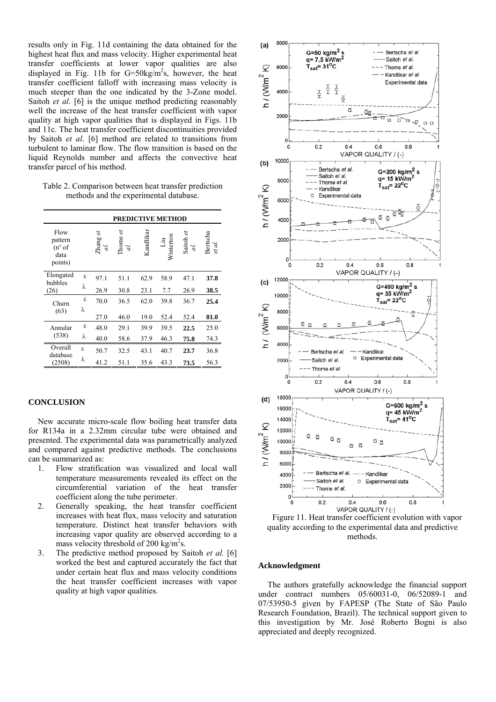results only in Fig. 11d containing the data obtained for the highest heat flux and mass velocity. Higher experimental heat transfer coefficients at lower vapor qualities are also displayed in Fig. 11b for  $G=50 \text{kg/m}^2\text{s}$ , however, the heat transfer coefficient falloff with increasing mass velocity is much steeper than the one indicated by the 3-Zone model. Saitoh *et al*. [6] is the unique method predicting reasonably well the increase of the heat transfer coefficient with vapor quality at high vapor qualities that is displayed in Figs. 11b and 11c. The heat transfer coefficient discontinuities provided by Saitoh *et al*. [6] method are related to transitions from turbulent to laminar flow. The flow transition is based on the liquid Reynolds number and affects the convective heat transfer parcel of his method.

Table 2. Comparison between heat transfer prediction methods and the experimental database.

|                                                       |    |                  | <b>PREDICTIVE METHOD</b> |           |                  |                 |                    |
|-------------------------------------------------------|----|------------------|--------------------------|-----------|------------------|-----------------|--------------------|
| Flow<br>pattern<br>$(n^{\circ}$ of<br>data<br>points) |    | U<br>Zhang<br>d. | Thome <i>et</i><br>d.    | Kandlikar | Liu<br>Winterton | Saitoh et<br>d. | Bertscha<br>et al. |
| Elongated<br>bubbles<br>(26)                          | ε  | 97.1             | 51.1                     | 62.9      | 58.9             | 47.1            | 37.8               |
|                                                       | λ  | 26.9             | 30.8                     | 23.1      | 7.7              | 26.9            | 38.5               |
| Churn<br>(63)                                         | ε  | 70.0             | 36.5                     | 62.0      | 39.8             | 36.7            | 25.4               |
|                                                       | λ  | 27.0             | 46.0                     | 19.0      | 52.4             | 52.4            | 81.0               |
| Annular<br>(538)                                      | ε  | 48.0             | 29.1                     | 39.9      | 39.5             | 22.5            | 25.0               |
|                                                       | λ  | 40.0             | 58.6                     | 37.9      | 46.3             | 75.8            | 74.3               |
| Overall<br>database<br>(2508)                         | £. | 50.7             | 32.5                     | 43.1      | 40.7             | 23.7            | 36.8               |
|                                                       | λ  | 41.2             | 51.1                     | 35.6      | 43.3             | 73.5            | 56.3               |

## **CONCLUSION**

New accurate micro-scale flow boiling heat transfer data for R134a in a 2.32mm circular tube were obtained and presented. The experimental data was parametrically analyzed and compared against predictive methods. The conclusions can be summarized as:

- 1. Flow stratification was visualized and local wall temperature measurements revealed its effect on the circumferential variation of the heat transfer coefficient along the tube perimeter.
- 2. Generally speaking, the heat transfer coefficient increases with heat flux, mass velocity and saturation temperature. Distinct heat transfer behaviors with increasing vapor quality are observed according to a mass velocity threshold of 200 kg/m<sup>2</sup>s.
- 3. The predictive method proposed by Saitoh *et al.* [6] worked the best and captured accurately the fact that under certain heat flux and mass velocity conditions the heat transfer coefficient increases with vapor quality at high vapor qualities.



Figure 11. Heat transfer coefficient evolution with vapor quality according to the experimental data and predictive methods.

### **Acknowledgment**

The authors gratefully acknowledge the financial support under contract numbers 05/60031-0, 06/52089-1 and 07/53950-5 given by FAPESP (The State of São Paulo Research Foundation, Brazil). The technical support given to this investigation by Mr. José Roberto Bogni is also appreciated and deeply recognized.